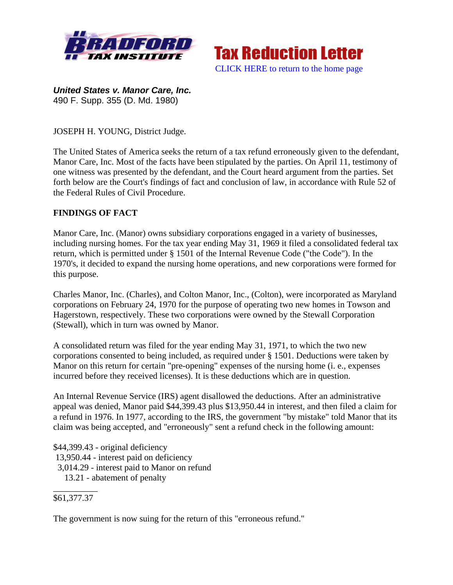



*United States v. Manor Care, Inc.* 490 F. Supp. 355 (D. Md. 1980)

JOSEPH H. YOUNG, District Judge.

The United States of America seeks the return of a tax refund erroneously given to the defendant, Manor Care, Inc. Most of the facts have been stipulated by the parties. On April 11, testimony of one witness was presented by the defendant, and the Court heard argument from the parties. Set forth below are the Court's findings of fact and conclusion of law, in accordance with Rule 52 of the Federal Rules of Civil Procedure.

## **FINDINGS OF FACT**

Manor Care, Inc. (Manor) owns subsidiary corporations engaged in a variety of businesses, including nursing homes. For the tax year ending May 31, 1969 it filed a consolidated federal tax return, which is permitted under § 1501 of the Internal Revenue Code ("the Code"). In the 1970's, it decided to expand the nursing home operations, and new corporations were formed for this purpose.

Charles Manor, Inc. (Charles), and Colton Manor, Inc., (Colton), were incorporated as Maryland corporations on February 24, 1970 for the purpose of operating two new homes in Towson and Hagerstown, respectively. These two corporations were owned by the Stewall Corporation (Stewall), which in turn was owned by Manor.

A consolidated return was filed for the year ending May 31, 1971, to which the two new corporations consented to being included, as required under § 1501. Deductions were taken by Manor on this return for certain "pre-opening" expenses of the nursing home (i. e., expenses incurred before they received licenses). It is these deductions which are in question.

An Internal Revenue Service (IRS) agent disallowed the deductions. After an administrative appeal was denied, Manor paid \$44,399.43 plus \$13,950.44 in interest, and then filed a claim for a refund in 1976. In 1977, according to the IRS, the government "by mistake" told Manor that its claim was being accepted, and "erroneously" sent a refund check in the following amount:

\$44,399.43 - original deficiency 13,950.44 - interest paid on deficiency 3,014.29 - interest paid to Manor on refund 13.21 - abatement of penalty \_\_\_\_\_\_\_\_\_\_

#### \$61,377.37

The government is now suing for the return of this "erroneous refund."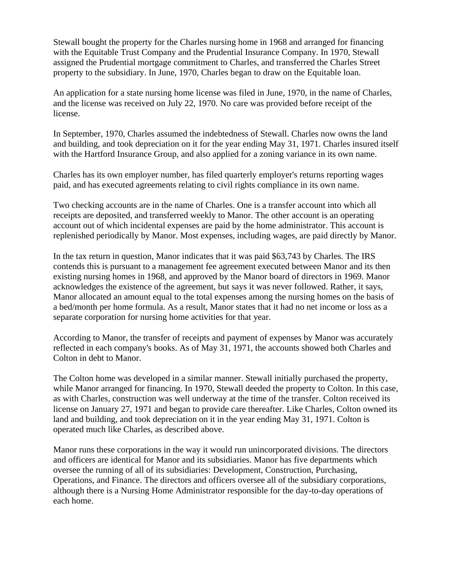Stewall bought the property for the Charles nursing home in 1968 and arranged for financing with the Equitable Trust Company and the Prudential Insurance Company. In 1970, Stewall assigned the Prudential mortgage commitment to Charles, and transferred the Charles Street property to the subsidiary. In June, 1970, Charles began to draw on the Equitable loan.

An application for a state nursing home license was filed in June, 1970, in the name of Charles, and the license was received on July 22, 1970. No care was provided before receipt of the license.

In September, 1970, Charles assumed the indebtedness of Stewall. Charles now owns the land and building, and took depreciation on it for the year ending May 31, 1971. Charles insured itself with the Hartford Insurance Group, and also applied for a zoning variance in its own name.

Charles has its own employer number, has filed quarterly employer's returns reporting wages paid, and has executed agreements relating to civil rights compliance in its own name.

Two checking accounts are in the name of Charles. One is a transfer account into which all receipts are deposited, and transferred weekly to Manor. The other account is an operating account out of which incidental expenses are paid by the home administrator. This account is replenished periodically by Manor. Most expenses, including wages, are paid directly by Manor.

In the tax return in question, Manor indicates that it was paid \$63,743 by Charles. The IRS contends this is pursuant to a management fee agreement executed between Manor and its then existing nursing homes in 1968, and approved by the Manor board of directors in 1969. Manor acknowledges the existence of the agreement, but says it was never followed. Rather, it says, Manor allocated an amount equal to the total expenses among the nursing homes on the basis of a bed/month per home formula. As a result, Manor states that it had no net income or loss as a separate corporation for nursing home activities for that year.

According to Manor, the transfer of receipts and payment of expenses by Manor was accurately reflected in each company's books. As of May 31, 1971, the accounts showed both Charles and Colton in debt to Manor.

The Colton home was developed in a similar manner. Stewall initially purchased the property, while Manor arranged for financing. In 1970, Stewall deeded the property to Colton. In this case, as with Charles, construction was well underway at the time of the transfer. Colton received its license on January 27, 1971 and began to provide care thereafter. Like Charles, Colton owned its land and building, and took depreciation on it in the year ending May 31, 1971. Colton is operated much like Charles, as described above.

Manor runs these corporations in the way it would run unincorporated divisions. The directors and officers are identical for Manor and its subsidiaries. Manor has five departments which oversee the running of all of its subsidiaries: Development, Construction, Purchasing, Operations, and Finance. The directors and officers oversee all of the subsidiary corporations, although there is a Nursing Home Administrator responsible for the day-to-day operations of each home.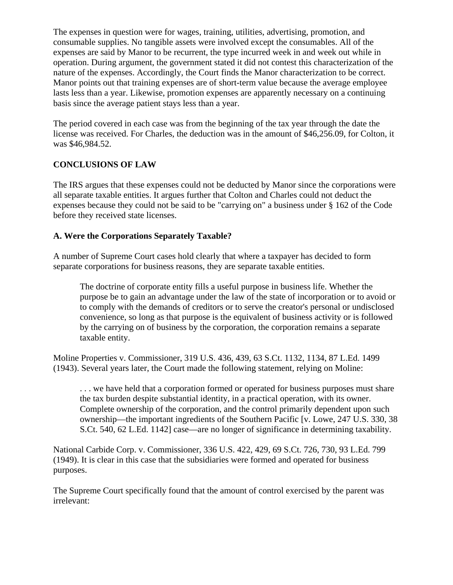The expenses in question were for wages, training, utilities, advertising, promotion, and consumable supplies. No tangible assets were involved except the consumables. All of the expenses are said by Manor to be recurrent, the type incurred week in and week out while in operation. During argument, the government stated it did not contest this characterization of the nature of the expenses. Accordingly, the Court finds the Manor characterization to be correct. Manor points out that training expenses are of short-term value because the average employee lasts less than a year. Likewise, promotion expenses are apparently necessary on a continuing basis since the average patient stays less than a year.

The period covered in each case was from the beginning of the tax year through the date the license was received. For Charles, the deduction was in the amount of \$46,256.09, for Colton, it was \$46,984.52.

# **CONCLUSIONS OF LAW**

The IRS argues that these expenses could not be deducted by Manor since the corporations were all separate taxable entities. It argues further that Colton and Charles could not deduct the expenses because they could not be said to be "carrying on" a business under § 162 of the Code before they received state licenses.

## **A. Were the Corporations Separately Taxable?**

A number of Supreme Court cases hold clearly that where a taxpayer has decided to form separate corporations for business reasons, they are separate taxable entities.

The doctrine of corporate entity fills a useful purpose in business life. Whether the purpose be to gain an advantage under the law of the state of incorporation or to avoid or to comply with the demands of creditors or to serve the creator's personal or undisclosed convenience, so long as that purpose is the equivalent of business activity or is followed by the carrying on of business by the corporation, the corporation remains a separate taxable entity.

Moline Properties v. Commissioner, 319 U.S. 436, 439, 63 S.Ct. 1132, 1134, 87 L.Ed. 1499 (1943). Several years later, the Court made the following statement, relying on Moline:

. . . we have held that a corporation formed or operated for business purposes must share the tax burden despite substantial identity, in a practical operation, with its owner. Complete ownership of the corporation, and the control primarily dependent upon such ownership—the important ingredients of the Southern Pacific [v. Lowe, 247 U.S. 330, 38 S.Ct. 540, 62 L.Ed. 1142] case—are no longer of significance in determining taxability.

National Carbide Corp. v. Commissioner, 336 U.S. 422, 429, 69 S.Ct. 726, 730, 93 L.Ed. 799 (1949). It is clear in this case that the subsidiaries were formed and operated for business purposes.

The Supreme Court specifically found that the amount of control exercised by the parent was irrelevant: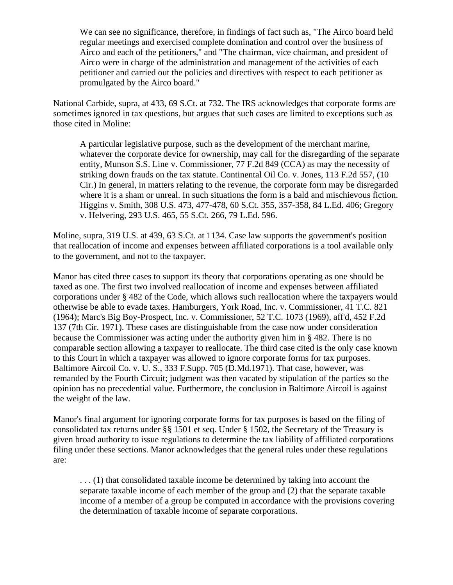We can see no significance, therefore, in findings of fact such as, "The Airco board held regular meetings and exercised complete domination and control over the business of Airco and each of the petitioners," and "The chairman, vice chairman, and president of Airco were in charge of the administration and management of the activities of each petitioner and carried out the policies and directives with respect to each petitioner as promulgated by the Airco board."

National Carbide, supra, at 433, 69 S.Ct. at 732. The IRS acknowledges that corporate forms are sometimes ignored in tax questions, but argues that such cases are limited to exceptions such as those cited in Moline:

A particular legislative purpose, such as the development of the merchant marine, whatever the corporate device for ownership, may call for the disregarding of the separate entity, Munson S.S. Line v. Commissioner, 77 F.2d 849 (CCA) as may the necessity of striking down frauds on the tax statute. Continental Oil Co. v. Jones, 113 F.2d 557, (10 Cir.) In general, in matters relating to the revenue, the corporate form may be disregarded where it is a sham or unreal. In such situations the form is a bald and mischievous fiction. Higgins v. Smith, 308 U.S. 473, 477-478, 60 S.Ct. 355, 357-358, 84 L.Ed. 406; Gregory v. Helvering, 293 U.S. 465, 55 S.Ct. 266, 79 L.Ed. 596.

Moline, supra, 319 U.S. at 439, 63 S.Ct. at 1134. Case law supports the government's position that reallocation of income and expenses between affiliated corporations is a tool available only to the government, and not to the taxpayer.

Manor has cited three cases to support its theory that corporations operating as one should be taxed as one. The first two involved reallocation of income and expenses between affiliated corporations under § 482 of the Code, which allows such reallocation where the taxpayers would otherwise be able to evade taxes. Hamburgers, York Road, Inc. v. Commissioner, 41 T.C. 821 (1964); Marc's Big Boy-Prospect, Inc. v. Commissioner, 52 T.C. 1073 (1969), aff'd, 452 F.2d 137 (7th Cir. 1971). These cases are distinguishable from the case now under consideration because the Commissioner was acting under the authority given him in § 482. There is no comparable section allowing a taxpayer to reallocate. The third case cited is the only case known to this Court in which a taxpayer was allowed to ignore corporate forms for tax purposes. Baltimore Aircoil Co. v. U. S., 333 F.Supp. 705 (D.Md.1971). That case, however, was remanded by the Fourth Circuit; judgment was then vacated by stipulation of the parties so the opinion has no precedential value. Furthermore, the conclusion in Baltimore Aircoil is against the weight of the law.

Manor's final argument for ignoring corporate forms for tax purposes is based on the filing of consolidated tax returns under §§ 1501 et seq. Under § 1502, the Secretary of the Treasury is given broad authority to issue regulations to determine the tax liability of affiliated corporations filing under these sections. Manor acknowledges that the general rules under these regulations are:

. . . (1) that consolidated taxable income be determined by taking into account the separate taxable income of each member of the group and (2) that the separate taxable income of a member of a group be computed in accordance with the provisions covering the determination of taxable income of separate corporations.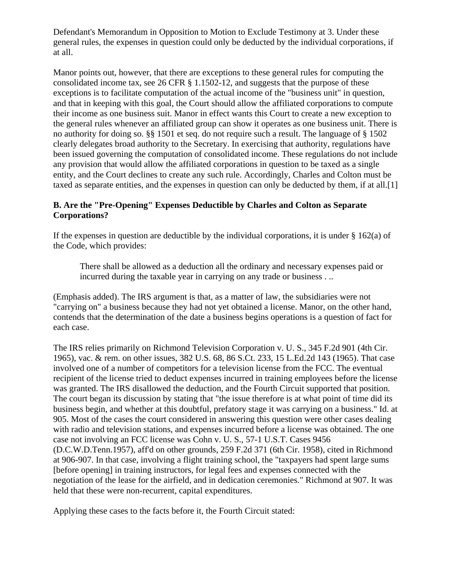Defendant's Memorandum in Opposition to Motion to Exclude Testimony at 3. Under these general rules, the expenses in question could only be deducted by the individual corporations, if at all.

Manor points out, however, that there are exceptions to these general rules for computing the consolidated income tax, see 26 CFR § 1.1502-12, and suggests that the purpose of these exceptions is to facilitate computation of the actual income of the "business unit" in question, and that in keeping with this goal, the Court should allow the affiliated corporations to compute their income as one business suit. Manor in effect wants this Court to create a new exception to the general rules whenever an affiliated group can show it operates as one business unit. There is no authority for doing so. §§ 1501 et seq. do not require such a result. The language of § 1502 clearly delegates broad authority to the Secretary. In exercising that authority, regulations have been issued governing the computation of consolidated income. These regulations do not include any provision that would allow the affiliated corporations in question to be taxed as a single entity, and the Court declines to create any such rule. Accordingly, Charles and Colton must be taxed as separate entities, and the expenses in question can only be deducted by them, if at all.[1]

## **B. Are the "Pre-Opening" Expenses Deductible by Charles and Colton as Separate Corporations?**

If the expenses in question are deductible by the individual corporations, it is under  $\S$  162(a) of the Code, which provides:

There shall be allowed as a deduction all the ordinary and necessary expenses paid or incurred during the taxable year in carrying on any trade or business . ..

(Emphasis added). The IRS argument is that, as a matter of law, the subsidiaries were not "carrying on" a business because they had not yet obtained a license. Manor, on the other hand, contends that the determination of the date a business begins operations is a question of fact for each case.

The IRS relies primarily on Richmond Television Corporation v. U. S., 345 F.2d 901 (4th Cir. 1965), vac. & rem. on other issues, 382 U.S. 68, 86 S.Ct. 233, 15 L.Ed.2d 143 (1965). That case involved one of a number of competitors for a television license from the FCC. The eventual recipient of the license tried to deduct expenses incurred in training employees before the license was granted. The IRS disallowed the deduction, and the Fourth Circuit supported that position. The court began its discussion by stating that "the issue therefore is at what point of time did its business begin, and whether at this doubtful, prefatory stage it was carrying on a business." Id. at 905. Most of the cases the court considered in answering this question were other cases dealing with radio and television stations, and expenses incurred before a license was obtained. The one case not involving an FCC license was Cohn v. U. S., 57-1 U.S.T. Cases 9456 (D.C.W.D.Tenn.1957), aff'd on other grounds, 259 F.2d 371 (6th Cir. 1958), cited in Richmond at 906-907. In that case, involving a flight training school, the "taxpayers had spent large sums [before opening] in training instructors, for legal fees and expenses connected with the negotiation of the lease for the airfield, and in dedication ceremonies." Richmond at 907. It was held that these were non-recurrent, capital expenditures.

Applying these cases to the facts before it, the Fourth Circuit stated: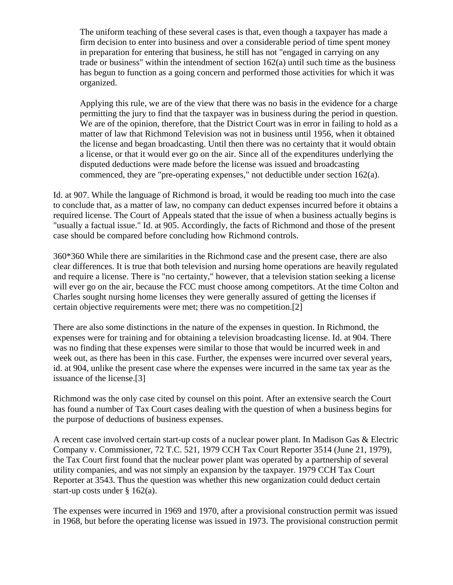The uniform teaching of these several cases is that, even though a taxpayer has made a firm decision to enter into business and over a considerable period of time spent money in preparation for entering that business, he still has not "engaged in carrying on any trade or business" within the intendment of section 162(a) until such time as the business has begun to function as a going concern and performed those activities for which it was organized.

Applying this rule, we are of the view that there was no basis in the evidence for a charge permitting the jury to find that the taxpayer was in business during the period in question. We are of the opinion, therefore, that the District Court was in error in failing to hold as a matter of law that Richmond Television was not in business until 1956, when it obtained the license and began broadcasting. Until then there was no certainty that it would obtain a license, or that it would ever go on the air. Since all of the expenditures underlying the disputed deductions were made before the license was issued and broadcasting commenced, they are "pre-operating expenses," not deductible under section 162(a).

Id. at 907. While the language of Richmond is broad, it would be reading too much into the case to conclude that, as a matter of law, no company can deduct expenses incurred before it obtains a required license. The Court of Appeals stated that the issue of when a business actually begins is "usually a factual issue." Id. at 905. Accordingly, the facts of Richmond and those of the present case should be compared before concluding how Richmond controls.

360\*360 While there are similarities in the Richmond case and the present case, there are also clear differences. It is true that both television and nursing home operations are heavily regulated and require a license. There is "no certainty," however, that a television station seeking a license will ever go on the air, because the FCC must choose among competitors. At the time Colton and Charles sought nursing home licenses they were generally assured of getting the licenses if certain objective requirements were met; there was no competition.[2]

There are also some distinctions in the nature of the expenses in question. In Richmond, the expenses were for training and for obtaining a television broadcasting license. Id. at 904. There was no finding that these expenses were similar to those that would be incurred week in and week out, as there has been in this case. Further, the expenses were incurred over several years, id. at 904, unlike the present case where the expenses were incurred in the same tax year as the issuance of the license.[3]

Richmond was the only case cited by counsel on this point. After an extensive search the Court has found a number of Tax Court cases dealing with the question of when a business begins for the purpose of deductions of business expenses.

A recent case involved certain start-up costs of a nuclear power plant. In Madison Gas & Electric Company v. Commissioner, 72 T.C. 521, 1979 CCH Tax Court Reporter 3514 (June 21, 1979), the Tax Court first found that the nuclear power plant was operated by a partnership of several utility companies, and was not simply an expansion by the taxpayer. 1979 CCH Tax Court Reporter at 3543. Thus the question was whether this new organization could deduct certain start-up costs under § 162(a).

The expenses were incurred in 1969 and 1970, after a provisional construction permit was issued in 1968, but before the operating license was issued in 1973. The provisional construction permit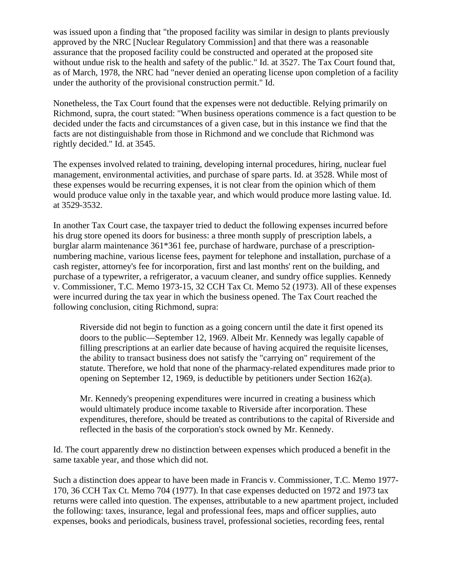was issued upon a finding that "the proposed facility was similar in design to plants previously approved by the NRC [Nuclear Regulatory Commission] and that there was a reasonable assurance that the proposed facility could be constructed and operated at the proposed site without undue risk to the health and safety of the public." Id. at 3527. The Tax Court found that, as of March, 1978, the NRC had "never denied an operating license upon completion of a facility under the authority of the provisional construction permit." Id.

Nonetheless, the Tax Court found that the expenses were not deductible. Relying primarily on Richmond, supra, the court stated: "When business operations commence is a fact question to be decided under the facts and circumstances of a given case, but in this instance we find that the facts are not distinguishable from those in Richmond and we conclude that Richmond was rightly decided." Id. at 3545.

The expenses involved related to training, developing internal procedures, hiring, nuclear fuel management, environmental activities, and purchase of spare parts. Id. at 3528. While most of these expenses would be recurring expenses, it is not clear from the opinion which of them would produce value only in the taxable year, and which would produce more lasting value. Id. at 3529-3532.

In another Tax Court case, the taxpayer tried to deduct the following expenses incurred before his drug store opened its doors for business: a three month supply of prescription labels, a burglar alarm maintenance 361\*361 fee, purchase of hardware, purchase of a prescriptionnumbering machine, various license fees, payment for telephone and installation, purchase of a cash register, attorney's fee for incorporation, first and last months' rent on the building, and purchase of a typewriter, a refrigerator, a vacuum cleaner, and sundry office supplies. Kennedy v. Commissioner, T.C. Memo 1973-15, 32 CCH Tax Ct. Memo 52 (1973). All of these expenses were incurred during the tax year in which the business opened. The Tax Court reached the following conclusion, citing Richmond, supra:

Riverside did not begin to function as a going concern until the date it first opened its doors to the public—September 12, 1969. Albeit Mr. Kennedy was legally capable of filling prescriptions at an earlier date because of having acquired the requisite licenses, the ability to transact business does not satisfy the "carrying on" requirement of the statute. Therefore, we hold that none of the pharmacy-related expenditures made prior to opening on September 12, 1969, is deductible by petitioners under Section 162(a).

Mr. Kennedy's preopening expenditures were incurred in creating a business which would ultimately produce income taxable to Riverside after incorporation. These expenditures, therefore, should be treated as contributions to the capital of Riverside and reflected in the basis of the corporation's stock owned by Mr. Kennedy.

Id. The court apparently drew no distinction between expenses which produced a benefit in the same taxable year, and those which did not.

Such a distinction does appear to have been made in Francis v. Commissioner, T.C. Memo 1977- 170, 36 CCH Tax Ct. Memo 704 (1977). In that case expenses deducted on 1972 and 1973 tax returns were called into question. The expenses, attributable to a new apartment project, included the following: taxes, insurance, legal and professional fees, maps and officer supplies, auto expenses, books and periodicals, business travel, professional societies, recording fees, rental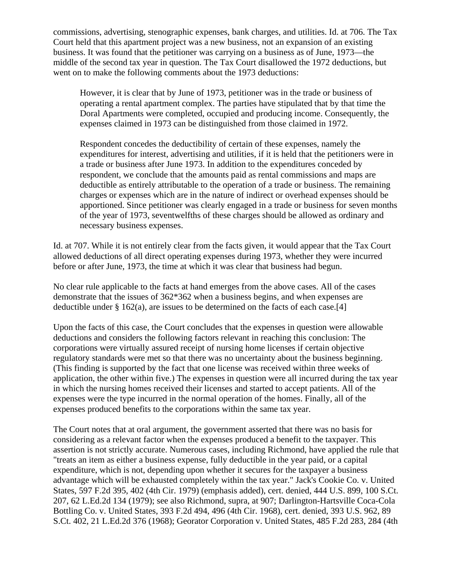commissions, advertising, stenographic expenses, bank charges, and utilities. Id. at 706. The Tax Court held that this apartment project was a new business, not an expansion of an existing business. It was found that the petitioner was carrying on a business as of June, 1973—the middle of the second tax year in question. The Tax Court disallowed the 1972 deductions, but went on to make the following comments about the 1973 deductions:

However, it is clear that by June of 1973, petitioner was in the trade or business of operating a rental apartment complex. The parties have stipulated that by that time the Doral Apartments were completed, occupied and producing income. Consequently, the expenses claimed in 1973 can be distinguished from those claimed in 1972.

Respondent concedes the deductibility of certain of these expenses, namely the expenditures for interest, advertising and utilities, if it is held that the petitioners were in a trade or business after June 1973. In addition to the expenditures conceded by respondent, we conclude that the amounts paid as rental commissions and maps are deductible as entirely attributable to the operation of a trade or business. The remaining charges or expenses which are in the nature of indirect or overhead expenses should be apportioned. Since petitioner was clearly engaged in a trade or business for seven months of the year of 1973, seventwelfths of these charges should be allowed as ordinary and necessary business expenses.

Id. at 707. While it is not entirely clear from the facts given, it would appear that the Tax Court allowed deductions of all direct operating expenses during 1973, whether they were incurred before or after June, 1973, the time at which it was clear that business had begun.

No clear rule applicable to the facts at hand emerges from the above cases. All of the cases demonstrate that the issues of 362\*362 when a business begins, and when expenses are deductible under  $\S 162(a)$ , are issues to be determined on the facts of each case.[4]

Upon the facts of this case, the Court concludes that the expenses in question were allowable deductions and considers the following factors relevant in reaching this conclusion: The corporations were virtually assured receipt of nursing home licenses if certain objective regulatory standards were met so that there was no uncertainty about the business beginning. (This finding is supported by the fact that one license was received within three weeks of application, the other within five.) The expenses in question were all incurred during the tax year in which the nursing homes received their licenses and started to accept patients. All of the expenses were the type incurred in the normal operation of the homes. Finally, all of the expenses produced benefits to the corporations within the same tax year.

The Court notes that at oral argument, the government asserted that there was no basis for considering as a relevant factor when the expenses produced a benefit to the taxpayer. This assertion is not strictly accurate. Numerous cases, including Richmond, have applied the rule that "treats an item as either a business expense, fully deductible in the year paid, or a capital expenditure, which is not, depending upon whether it secures for the taxpayer a business advantage which will be exhausted completely within the tax year." Jack's Cookie Co. v. United States, 597 F.2d 395, 402 (4th Cir. 1979) (emphasis added), cert. denied, 444 U.S. 899, 100 S.Ct. 207, 62 L.Ed.2d 134 (1979); see also Richmond, supra, at 907; Darlington-Hartsville Coca-Cola Bottling Co. v. United States, 393 F.2d 494, 496 (4th Cir. 1968), cert. denied, 393 U.S. 962, 89 S.Ct. 402, 21 L.Ed.2d 376 (1968); Georator Corporation v. United States, 485 F.2d 283, 284 (4th